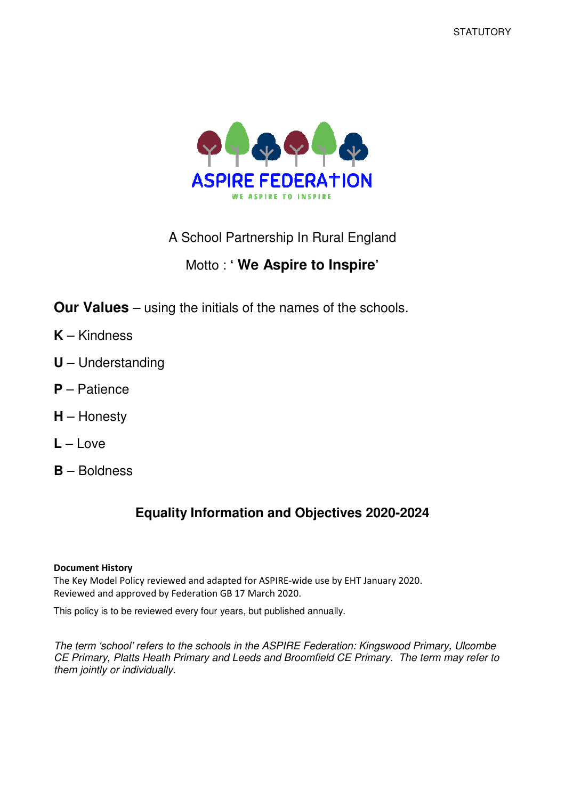

A School Partnership In Rural England

# Motto : **' We Aspire to Inspire'**

**Our Values** – using the initials of the names of the schools.

- **K** Kindness
- **U** Understanding
- **P** Patience
- **H** Honesty
- $L L$ ove
- **B** Boldness

# **Equality Information and Objectives 2020-2024**

#### Document History

The Key Model Policy reviewed and adapted for ASPIRE-wide use by EHT January 2020. Reviewed and approved by Federation GB 17 March 2020.

This policy is to be reviewed every four years, but published annually.

The term 'school' refers to the schools in the ASPIRE Federation: Kingswood Primary, Ulcombe CE Primary, Platts Heath Primary and Leeds and Broomfield CE Primary. The term may refer to them jointly or individually.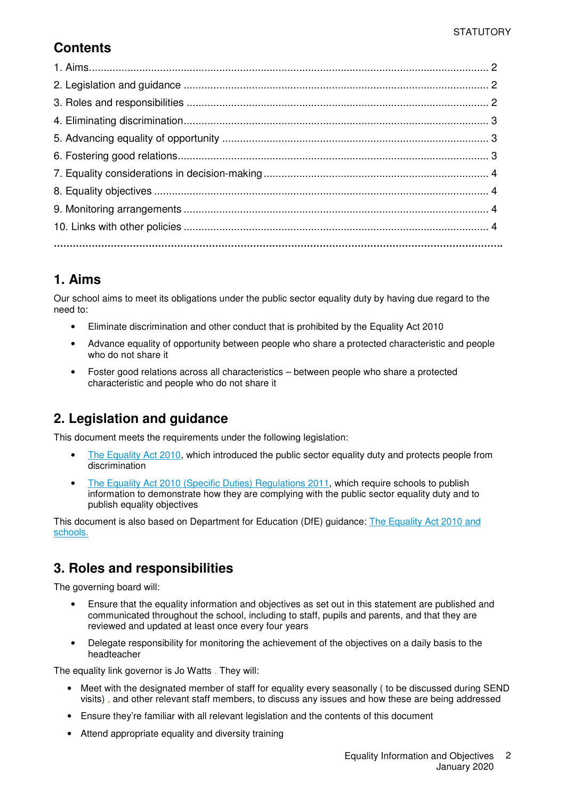## **Contents**

## **1. Aims**

Our school aims to meet its obligations under the public sector equality duty by having due regard to the need to:

- Eliminate discrimination and other conduct that is prohibited by the Equality Act 2010
- Advance equality of opportunity between people who share a protected characteristic and people who do not share it
- Foster good relations across all characteristics between people who share a protected characteristic and people who do not share it

## **2. Legislation and guidance**

This document meets the requirements under the following legislation:

- The Equality Act 2010, which introduced the public sector equality duty and protects people from discrimination
- The Equality Act 2010 (Specific Duties) Regulations 2011, which require schools to publish information to demonstrate how they are complying with the public sector equality duty and to publish equality objectives

This document is also based on Department for Education (DfE) guidance: The Equality Act 2010 and schools.

## **3. Roles and responsibilities**

The governing board will:

- Ensure that the equality information and objectives as set out in this statement are published and communicated throughout the school, including to staff, pupils and parents, and that they are reviewed and updated at least once every four years
- Delegate responsibility for monitoring the achievement of the objectives on a daily basis to the headteacher

The equality link governor is Jo Watts . They will:

- Meet with the designated member of staff for equality every seasonally ( to be discussed during SEND visits) , and other relevant staff members, to discuss any issues and how these are being addressed
- Ensure they're familiar with all relevant legislation and the contents of this document
- Attend appropriate equality and diversity training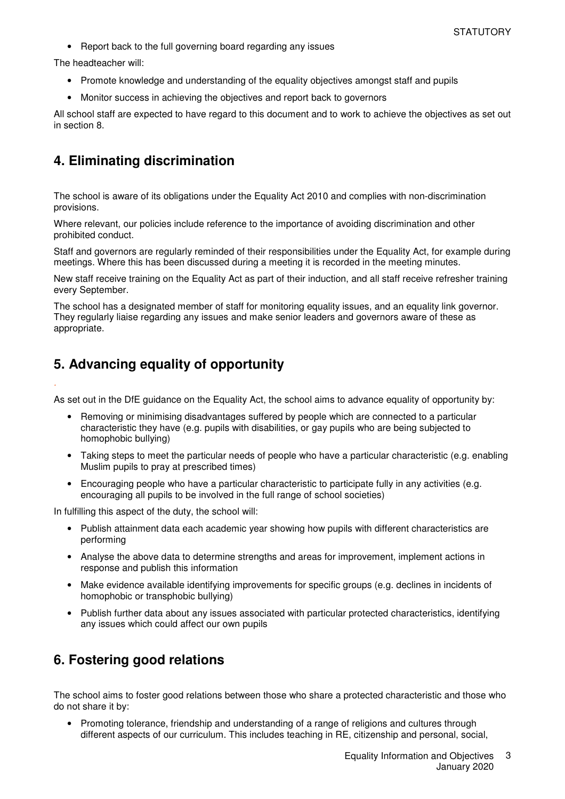• Report back to the full governing board regarding any issues

The headteacher will:

.

- Promote knowledge and understanding of the equality objectives amongst staff and pupils
- Monitor success in achieving the objectives and report back to governors

All school staff are expected to have regard to this document and to work to achieve the objectives as set out in section 8.

#### **4. Eliminating discrimination**

The school is aware of its obligations under the Equality Act 2010 and complies with non-discrimination provisions.

Where relevant, our policies include reference to the importance of avoiding discrimination and other prohibited conduct.

Staff and governors are regularly reminded of their responsibilities under the Equality Act, for example during meetings. Where this has been discussed during a meeting it is recorded in the meeting minutes.

New staff receive training on the Equality Act as part of their induction, and all staff receive refresher training every September.

The school has a designated member of staff for monitoring equality issues, and an equality link governor. They regularly liaise regarding any issues and make senior leaders and governors aware of these as appropriate.

### **5. Advancing equality of opportunity**

As set out in the DfE guidance on the Equality Act, the school aims to advance equality of opportunity by:

- Removing or minimising disadvantages suffered by people which are connected to a particular characteristic they have (e.g. pupils with disabilities, or gay pupils who are being subjected to homophobic bullying)
- Taking steps to meet the particular needs of people who have a particular characteristic (e.g. enabling Muslim pupils to pray at prescribed times)
- Encouraging people who have a particular characteristic to participate fully in any activities (e.g. encouraging all pupils to be involved in the full range of school societies)

In fulfilling this aspect of the duty, the school will:

- Publish attainment data each academic year showing how pupils with different characteristics are performing
- Analyse the above data to determine strengths and areas for improvement, implement actions in response and publish this information
- Make evidence available identifying improvements for specific groups (e.g. declines in incidents of homophobic or transphobic bullying)
- Publish further data about any issues associated with particular protected characteristics, identifying any issues which could affect our own pupils

### **6. Fostering good relations**

The school aims to foster good relations between those who share a protected characteristic and those who do not share it by:

• Promoting tolerance, friendship and understanding of a range of religions and cultures through different aspects of our curriculum. This includes teaching in RE, citizenship and personal, social,